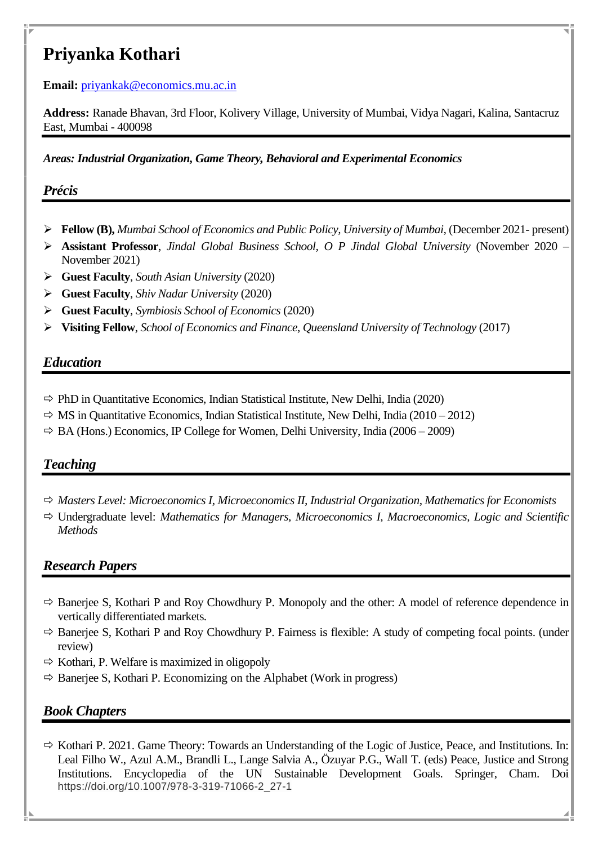# **Priyanka Kothari**

**Email:** [priyankak@economics.mu.ac.in](mailto:priyankak@economics.mu.ac.in)

**Address:** Ranade Bhavan, 3rd Floor, Kolivery Village, University of Mumbai, Vidya Nagari, Kalina, Santacruz East, Mumbai - 400098

*Areas: Industrial Organization, Game Theory, Behavioral and Experimental Economics*

## *Précis*

- ➢ **Fellow (B),** *Mumbai School of Economics and Public Policy, University of Mumbai,* (December 2021- present)
- ➢ **Assistant Professor**, *Jindal Global Business School, O P Jindal Global University* (November 2020 November 2021)
- ➢ **Guest Faculty**, *South Asian University* (2020)
- ➢ **Guest Faculty**, *Shiv Nadar University* (2020)
- ➢ **Guest Faculty**, *Symbiosis School of Economics* (2020)
- ➢ **Visiting Fellow**, *School of Economics and Finance*, *Queensland University of Technology* (2017)

## *Education*

- $\Rightarrow$  PhD in Quantitative Economics, Indian Statistical Institute, New Delhi, India (2020)
- $\Rightarrow$  MS in Quantitative Economics, Indian Statistical Institute, New Delhi, India (2010 2012)
- $\Rightarrow$  BA (Hons.) Economics, IP College for Women, Delhi University, India (2006 2009)

# *Teaching*

- *Masters Level: Microeconomics I, Microeconomics II, Industrial Organization, Mathematics for Economists*
- Undergraduate level: *Mathematics for Managers, Microeconomics I, Macroeconomics, Logic and Scientific Methods*

# *Research Papers*

- $\Rightarrow$  Banerjee S, Kothari P and Roy Chowdhury P. Monopoly and the other: A model of reference dependence in vertically differentiated markets*.*
- $\Rightarrow$  Banerjee S, Kothari P and Roy Chowdhury P. Fairness is flexible: A study of competing focal points. (under review)
- $\Rightarrow$  Kothari, P. Welfare is maximized in oligopoly
- $\Rightarrow$  Banerjee S, Kothari P. Economizing on the Alphabet (Work in progress)

## *Book Chapters*

 $\Rightarrow$  Kothari P. 2021. Game Theory: Towards an Understanding of the Logic of Justice, Peace, and Institutions. In: Leal Filho W., Azul A.M., Brandli L., Lange Salvia A., Özuyar P.G., Wall T. (eds) Peace, Justice and Strong Institutions. Encyclopedia of the UN Sustainable Development Goals. Springer, Cham. Doi https://doi.org/10.1007/978-3-319-71066-2\_27-1